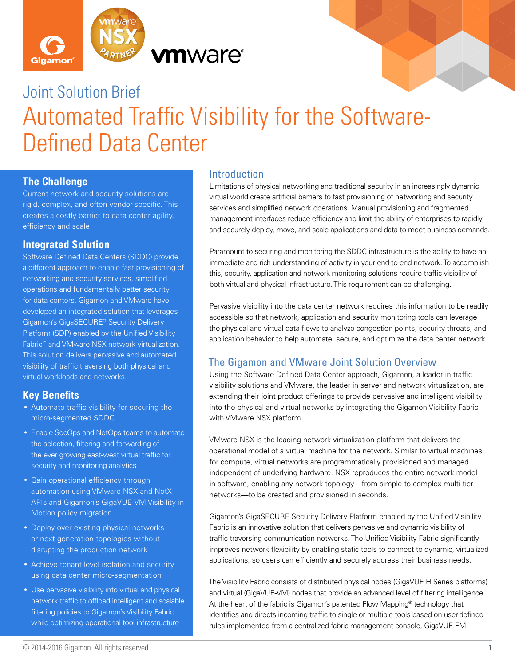



# Joint Solution Brief Automated Traffic Visibility for the Software-Defined Data Center

#### **The Challenge**

Current network and security solutions are rigid, complex, and often vendor-specific. This creates a costly barrier to data center agility, efficiency and scale.

#### **Integrated Solution**

Software Defined Data Centers (SDDC) provide a different approach to enable fast provisioning of networking and security services, simplified operations and fundamentally better security for data centers. Gigamon and VMware have developed an integrated solution that leverages Gigamon's GigaSECURE® Security Delivery Platform (SDP) enabled by the Unified Visibility Fabric™ and VMware NSX network virtualization. This solution delivers pervasive and automated visibility of traffic traversing both physical and virtual workloads and networks.

# **Key Benefits**

- Automate traffic visibility for securing the micro-segmented SDDC
- Enable SecOps and NetOps teams to automate the selection, filtering and forwarding of the ever growing east-west virtual traffic for security and monitoring analytics
- Gain operational efficiency through automation using VMware NSX and NetX APIs and Gigamon's GigaVUE-VM Visibility in Motion policy migration
- Deploy over existing physical networks or next generation topologies without disrupting the production network
- Achieve tenant-level isolation and security using data center micro-segmentation
- Use pervasive visibility into virtual and physical network traffic to offload intelligent and scalable filtering policies to Gigamon's Visibility Fabric while optimizing operational tool infrastructure

#### Introduction

Limitations of physical networking and traditional security in an increasingly dynamic virtual world create artificial barriers to fast provisioning of networking and security services and simplified network operations. Manual provisioning and fragmented management interfaces reduce efficiency and limit the ability of enterprises to rapidly and securely deploy, move, and scale applications and data to meet business demands.

Paramount to securing and monitoring the SDDC infrastructure is the ability to have an immediate and rich understanding of activity in your end-to-end network. To accomplish this, security, application and network monitoring solutions require traffic visibility of both virtual and physical infrastructure. This requirement can be challenging.

Pervasive visibility into the data center network requires this information to be readily accessible so that network, application and security monitoring tools can leverage the physical and virtual data flows to analyze congestion points, security threats, and application behavior to help automate, secure, and optimize the data center network.

# The Gigamon and VMware Joint Solution Overview

Using the Software Defined Data Center approach, Gigamon, a leader in traffic visibility solutions and VMware, the leader in server and network virtualization, are extending their joint product offerings to provide pervasive and intelligent visibility into the physical and virtual networks by integrating the Gigamon Visibility Fabric with VMware NSX platform.

VMware NSX is the leading network virtualization platform that delivers the operational model of a virtual machine for the network. Similar to virtual machines for compute, virtual networks are programmatically provisioned and managed independent of underlying hardware. NSX reproduces the entire network model in software, enabling any network topology—from simple to complex multi-tier networks—to be created and provisioned in seconds.

Gigamon's GigaSECURE Security Delivery Platform enabled by the Unified Visibility Fabric is an innovative solution that delivers pervasive and dynamic visibility of traffic traversing communication networks. The Unified Visibility Fabric significantly improves network flexibility by enabling static tools to connect to dynamic, virtualized applications, so users can efficiently and securely address their business needs.

The Visibility Fabric consists of distributed physical nodes (GigaVUE H Series platforms) and virtual (GigaVUE-VM) nodes that provide an advanced level of filtering intelligence. At the heart of the fabric is Gigamon's patented Flow Mapping® technology that identifies and directs incoming traffic to single or multiple tools based on user-defined rules implemented from a centralized fabric management console, GigaVUE-FM.